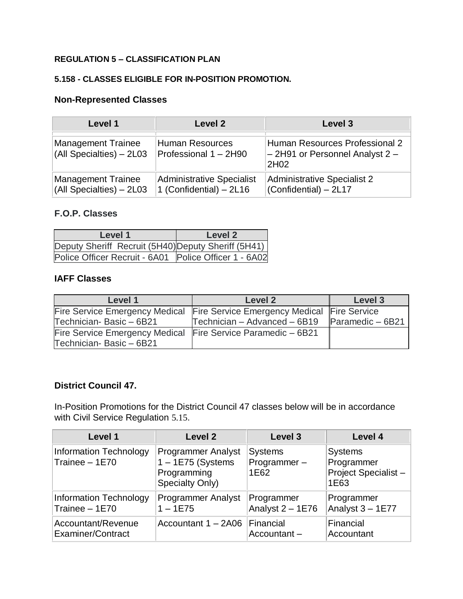### **REGULATION 5 – CLASSIFICATION PLAN**

### **5.158 - CLASSES ELIGIBLE FOR IN-POSITION PROMOTION.**

### **Non-Represented Classes**

| Level 1                                           | Level 2                                                        | Level 3                                                                       |
|---------------------------------------------------|----------------------------------------------------------------|-------------------------------------------------------------------------------|
| Management Trainee<br>$(AII)$ Specialties) - 2L03 | <b>Human Resources</b><br>Professional 1 - 2H90                | Human Resources Professional 2<br>$-$ 2H91 or Personnel Analyst 2 $-$<br>2H02 |
| Management Trainee<br>(All Specialties) - 2L03    | <b>Administrative Specialist</b><br>$1$ (Confidential) $-2L16$ | <b>Administrative Specialist 2</b><br>(Confidential) - 2L17                   |

## **F.O.P. Classes**

| Level 1                                               | Level 2 |  |
|-------------------------------------------------------|---------|--|
| Deputy Sheriff Recruit (5H40) Deputy Sheriff (5H41)   |         |  |
| Police Officer Recruit - 6A01 Police Officer 1 - 6A02 |         |  |

### **IAFF Classes**

| Level 1                                                                    | Level 2                                         | Level 3 |
|----------------------------------------------------------------------------|-------------------------------------------------|---------|
| Fire Service Emergency Medical Fire Service Emergency Medical Fire Service |                                                 |         |
| Technician-Basic - 6B21                                                    | Technician - Advanced - 6B19   Paramedic - 6B21 |         |
| Fire Service Emergency Medical Fire Service Paramedic - 6B21               |                                                 |         |
| Technician-Basic - 6B21                                                    |                                                 |         |

### **District Council 47.**

In-Position Promotions for the District Council 47 classes below will be in accordance with Civil Service Regulation [5.15](http://personnel-web.phila.gov/webregs/?reg=5#reg.5.15).

| Level 1                                         | <b>Level 2</b>                                                                     | Level 3                               | Level 4                                                     |
|-------------------------------------------------|------------------------------------------------------------------------------------|---------------------------------------|-------------------------------------------------------------|
| <b>Information Technology</b><br>Trainee - 1E70 | <b>Programmer Analyst</b><br>$1 - 1E75$ (Systems<br>Programming<br>Specialty Only) | <b>Systems</b><br>Programmer-<br>1E62 | <b>Systems</b><br>Programmer<br>Project Specialist-<br>1E63 |
| Information Technology                          | <b>Programmer Analyst</b>                                                          | Programmer                            | Programmer                                                  |
| Trainee - 1E70                                  | $1 - 1E75$                                                                         | Analyst $2 - 1E76$                    | Analyst 3 - 1E77                                            |
| Accountant/Revenue                              | Accountant 1 - 2A06                                                                | Financial                             | Financial                                                   |
| Examiner/Contract                               |                                                                                    | Accountant-                           | Accountant                                                  |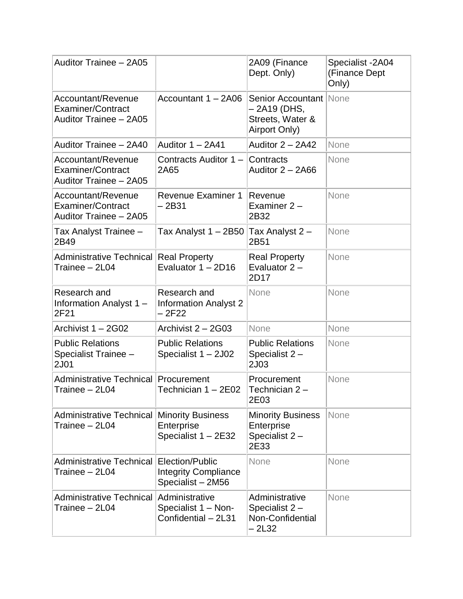| Auditor Trainee - 2A05                                                          |                                                                     | 2A09 (Finance<br>Dept. Only)                                                       | Specialist - 2A04<br>(Finance Dept<br>Only) |
|---------------------------------------------------------------------------------|---------------------------------------------------------------------|------------------------------------------------------------------------------------|---------------------------------------------|
| Accountant/Revenue<br><b>Examiner/Contract</b><br>Auditor Trainee - 2A05        | Accountant 1 - 2A06                                                 | <b>Senior Accountant None</b><br>– 2A19 (DHS,<br>Streets, Water &<br>Airport Only) |                                             |
| Auditor Trainee - 2A40                                                          | Auditor $1 - 2A41$                                                  | Auditor $2 - 2A42$                                                                 | None                                        |
| <b>Accountant/Revenue</b><br><b>Examiner/Contract</b><br>Auditor Trainee - 2A05 | Contracts Auditor $1 -$ Contracts<br>2A65                           | Auditor $2 - 2A66$                                                                 | None                                        |
| Accountant/Revenue<br><b>Examiner/Contract</b><br>Auditor Trainee - 2A05        | <b>Revenue Examiner 1</b><br>$-2B31$                                | Revenue<br>Examiner $2 -$<br>2B32                                                  | None                                        |
| Tax Analyst Trainee -<br>2B49                                                   | Tax Analyst 1 - 2B50 Tax Analyst 2 -                                | 2B51                                                                               | None                                        |
| Administrative Technical Real Property<br>Trainee - 2L04                        | Evaluator 1 - 2D16                                                  | <b>Real Property</b><br>Evaluator $2 -$<br>2D17                                    | None                                        |
| Research and<br>Information Analyst 1 -<br>2F21                                 | Research and<br><b>Information Analyst 2</b><br>– 2F22              | None                                                                               | None                                        |
| Archivist 1 - 2G02                                                              | Archivist 2 - 2G03                                                  | None                                                                               | None                                        |
| <b>Public Relations</b><br>Specialist Trainee -<br>2J01                         | <b>Public Relations</b><br>Specialist 1 - 2J02                      | <b>Public Relations</b><br>Specialist 2-<br>2J03                                   | None                                        |
| Administrative Technical Procurement<br>Trainee – 2L04                          | Technician 1 - 2E02                                                 | Procurement<br>Technician 2-<br>2E03                                               | None                                        |
| <b>Administrative Technical</b><br>Trainee - 2L04                               | <b>Minority Business</b><br>Enterprise<br>Specialist 1 - 2E32       | <b>Minority Business</b><br>Enterprise<br>Specialist 2-<br>2E33                    | None                                        |
| <b>Administrative Technical</b><br>Trainee - 2L04                               | Election/Public<br><b>Integrity Compliance</b><br>Specialist - 2M56 | None                                                                               | None                                        |
| <b>Administrative Technical</b><br>Trainee - 2L04                               | Administrative<br>Specialist 1 - Non-<br>Confidential - 2L31        | Administrative<br>Specialist $2 -$<br>Non-Confidential<br>$-2L32$                  | None                                        |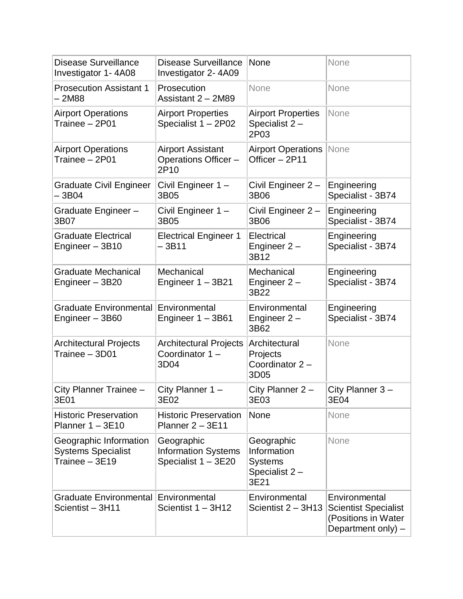| <b>Disease Surveillance</b><br>Investigator 1-4A08                    | <b>Disease Surveillance</b><br>Investigator 2-4A09              | None                                                                 | None                                                                                        |
|-----------------------------------------------------------------------|-----------------------------------------------------------------|----------------------------------------------------------------------|---------------------------------------------------------------------------------------------|
| <b>Prosecution Assistant 1</b><br>– 2M88                              | Prosecution<br>Assistant 2 - 2M89                               | None                                                                 | None                                                                                        |
| <b>Airport Operations</b><br>Trainee - 2P01                           | <b>Airport Properties</b><br>Specialist 1 - 2P02                | <b>Airport Properties</b><br>Specialist 2-<br>2P03                   | None                                                                                        |
| <b>Airport Operations</b><br>Trainee - 2P01                           | <b>Airport Assistant</b><br>Operations Officer -<br>2P10        | <b>Airport Operations</b><br>Officer - 2P11                          | None                                                                                        |
| <b>Graduate Civil Engineer</b><br>$-3B04$                             | Civil Engineer 1-<br>3B05                                       | Civil Engineer 2 -<br>3B06                                           | Engineering<br>Specialist - 3B74                                                            |
| Graduate Engineer -<br>3B07                                           | Civil Engineer 1-<br>3B05                                       | Civil Engineer 2-<br>3B06                                            | Engineering<br>Specialist - 3B74                                                            |
| <b>Graduate Electrical</b><br>Engineer - 3B10                         | <b>Electrical Engineer 1</b><br>$-3B11$                         | Electrical<br>Engineer $2 -$<br>3B12                                 | Engineering<br>Specialist - 3B74                                                            |
| <b>Graduate Mechanical</b><br>Engineer - 3B20                         | Mechanical<br>Engineer 1 - 3B21                                 | Mechanical<br>Engineer $2 -$<br>3B22                                 | Engineering<br>Specialist - 3B74                                                            |
| Graduate Environmental Environmental<br>Engineer - 3B60               | Engineer 1 - 3B61                                               | Environmental<br>Engineer $2 -$<br>3B62                              | Engineering<br>Specialist - 3B74                                                            |
| <b>Architectural Projects</b><br>Trainee - 3D01                       | <b>Architectural Projects</b><br>Coordinator 1-<br>3D04         | Architectural<br>Projects<br>Coordinator 2-<br>3D05                  | None                                                                                        |
| City Planner Trainee -<br>3E01                                        | City Planner $1 -$<br>3E02                                      | City Planner $2 -$<br>3E03                                           | City Planner 3-<br>3E04                                                                     |
| <b>Historic Preservation</b><br>Planner $1 - 3E10$                    | <b>Historic Preservation</b><br>Planner 2 - 3E11                | None                                                                 | None                                                                                        |
| Geographic Information<br><b>Systems Specialist</b><br>Trainee - 3E19 | Geographic<br><b>Information Systems</b><br>Specialist 1 - 3E20 | Geographic<br>Information<br><b>Systems</b><br>Specialist 2-<br>3E21 | None                                                                                        |
| <b>Graduate Environmental</b><br>Scientist-3H11                       | Environmental<br>Scientist 1 - 3H12                             | Environmental<br>Scientist $2 - 3H13$                                | Environmental<br><b>Scientist Specialist</b><br>(Positions in Water<br>Department only) $-$ |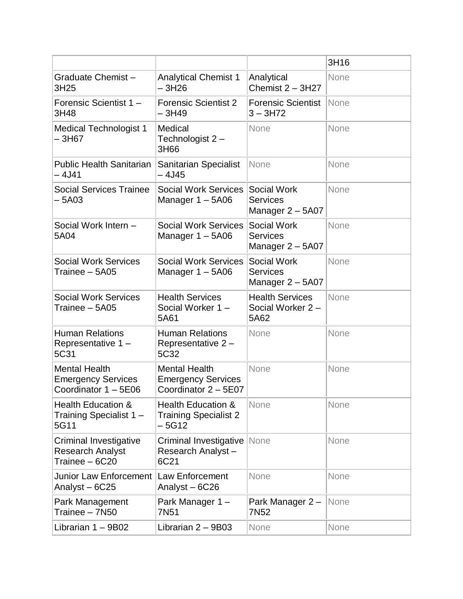|                                                                           |                                                                           |                                                             | 3H16 |
|---------------------------------------------------------------------------|---------------------------------------------------------------------------|-------------------------------------------------------------|------|
| Graduate Chemist-<br>3H25                                                 | <b>Analytical Chemist 1</b><br>– 3H26                                     | Analytical<br>Chemist $2 - 3H27$                            | None |
| Forensic Scientist 1 -<br>3H48                                            | <b>Forensic Scientist 2</b><br>– 3H49                                     | <b>Forensic Scientist</b><br>$3 - 3H72$                     | None |
| <b>Medical Technologist 1</b><br>-3H67                                    | Medical<br>Technologist 2-<br>3H66                                        | None                                                        | None |
| <b>Public Health Sanitarian</b><br>– 4J41                                 | Sanitarian Specialist<br>- 4J45                                           | None                                                        | None |
| <b>Social Services Trainee</b><br>– 5A03                                  | <b>Social Work Services</b><br>Manager $1 - 5A06$                         | Social Work<br><b>Services</b><br>Manager 2 - 5A07          | None |
| Social Work Intern -<br>5A04                                              | <b>Social Work Services</b><br>Manager $1 - 5A06$                         | <b>Social Work</b><br><b>Services</b><br>Manager 2 - 5A07   | None |
| <b>Social Work Services</b><br>Trainee - 5A05                             | <b>Social Work Services</b><br>Manager $1 - 5A06$                         | <b>Social Work</b><br><b>Services</b><br>Manager $2 - 5A07$ | None |
| <b>Social Work Services</b><br>Trainee - 5A05                             | <b>Health Services</b><br>Social Worker 1-<br>5A61                        | <b>Health Services</b><br>Social Worker 2 -<br>5A62         | None |
| <b>Human Relations</b><br>Representative 1 -<br>5C31                      | <b>Human Relations</b><br>Representative 2-<br>5C32                       | None                                                        | None |
| <b>Mental Health</b><br><b>Emergency Services</b><br>Coordinator 1 - 5E06 | <b>Mental Health</b><br><b>Emergency Services</b><br>Coordinator 2 - 5E07 | None                                                        | None |
| <b>Health Education &amp;</b><br>Training Specialist 1 -<br>5G11          | <b>Health Education &amp;</b><br><b>Training Specialist 2</b><br>$-5G12$  | None                                                        | None |
| Criminal Investigative<br><b>Research Analyst</b><br>Trainee - 6C20       | Criminal Investigative<br>Research Analyst-<br>6C21                       | None                                                        | None |
| <b>Junior Law Enforcement</b><br>Analyst-6C25                             | Law Enforcement<br>Analyst-6C26                                           | None                                                        | None |
| Park Management<br>Trainee - 7N50                                         | Park Manager 1-<br>7N <sub>51</sub>                                       | Park Manager 2 -<br>7N <sub>52</sub>                        | None |
| Librarian $1 - 9B02$                                                      | Librarian $2 - 9B03$                                                      | None                                                        | None |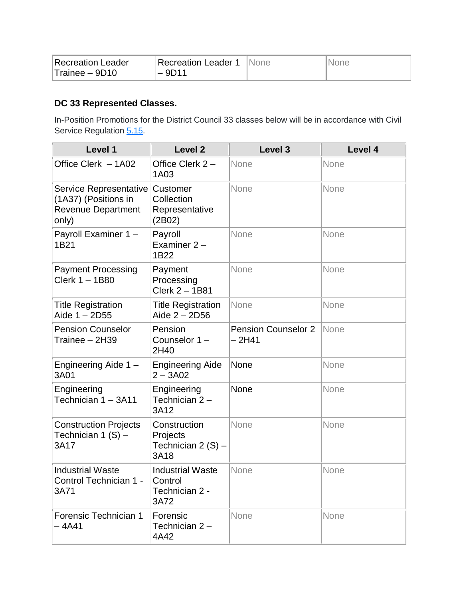| Recreation Leader | Recreation Leader 1 | INone | <b>None</b> |
|-------------------|---------------------|-------|-------------|
| Trainee - 9D10    | $-9D14$             |       |             |

# **DC 33 Represented Classes.**

In-Position Promotions for the District Council 33 classes below will be in accordance with Civil Service Regulation [5.15.](https://personnel-web.phila.gov/csc/regulations.aspx?reg=5#reg.5.15)

| Level 1                                                                              | <b>Level 2</b>                                               | Level 3                               | Level 4 |
|--------------------------------------------------------------------------------------|--------------------------------------------------------------|---------------------------------------|---------|
| Office Clerk - 1A02                                                                  | Office Clerk 2 -<br>1A03                                     | None                                  | None    |
| Service Representative<br>(1A37) (Positions in<br><b>Revenue Department</b><br>only) | Customer<br>Collection<br>Representative<br>(2B02)           | None                                  | None    |
| Payroll Examiner 1 -<br>1B21                                                         | Payroll<br>Examiner 2-<br>1B22                               | None                                  | None    |
| <b>Payment Processing</b><br>Clerk 1 - 1B80                                          | Payment<br>Processing<br>Clerk 2 - 1B81                      | None                                  | None    |
| <b>Title Registration</b><br>Aide $1 - 2D55$                                         | <b>Title Registration</b><br>Aide 2 - 2D56                   | None                                  | None    |
| <b>Pension Counselor</b><br>Trainee - 2H39                                           | Pension<br>Counselor 1-<br>2H40                              | <b>Pension Counselor 2</b><br>$-2H41$ | None    |
| Engineering Aide 1 -<br>3A01                                                         | <b>Engineering Aide</b><br>$2 - 3A02$                        | None                                  | None    |
| Engineering<br>Technician 1 - 3A11                                                   | Engineering<br>Technician 2-<br>3A12                         | None                                  | None    |
| <b>Construction Projects</b><br>Technician 1 (S) -<br>3A17                           | Construction<br>Projects<br>Technician 2 (S) -<br>3A18       | None                                  | None    |
| <b>Industrial Waste</b><br>Control Technician 1 -<br>3A71                            | <b>Industrial Waste</b><br>Control<br>Technician 2 -<br>3A72 | None                                  | None    |
| Forensic Technician 1<br>$-4A41$                                                     | Forensic<br>Technician 2-<br>4A42                            | None                                  | None    |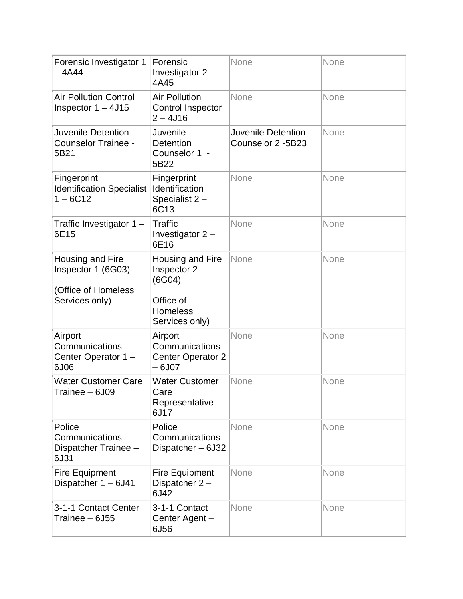| Forensic Investigator 1<br>– 4A44                                               | Forensic<br>Investigator $2 -$<br>4A45                                                      | None                                    | None |
|---------------------------------------------------------------------------------|---------------------------------------------------------------------------------------------|-----------------------------------------|------|
| <b>Air Pollution Control</b><br>Inspector $1 - 4J15$                            | <b>Air Pollution</b><br>Control Inspector<br>$2 - 4J16$                                     | None                                    | None |
| <b>Juvenile Detention</b><br><b>Counselor Trainee -</b><br>5B21                 | Juvenile<br><b>Detention</b><br>Counselor 1 -<br>5B22                                       | Juvenile Detention<br>Counselor 2 -5B23 | None |
| Fingerprint<br><b>Identification Specialist</b><br>$1 - 6C12$                   | Fingerprint<br>Identification<br>Specialist 2-<br>6C13                                      | None                                    | None |
| Traffic Investigator 1 -<br>6E15                                                | Traffic<br>Investigator 2 -<br>6E16                                                         | None                                    | None |
| Housing and Fire<br>Inspector 1 (6G03)<br>(Office of Homeless<br>Services only) | Housing and Fire<br>Inspector 2<br>(6G04)<br>Office of<br><b>Homeless</b><br>Services only) | None                                    | None |
| Airport<br>Communications<br>Center Operator 1-<br>6J06                         | Airport<br>Communications<br><b>Center Operator 2</b><br>$-6J07$                            | None                                    | None |
| <b>Water Customer Care</b><br>Trainee - 6J09                                    | <b>Water Customer</b><br>Care<br>Representative -<br>6J17                                   | None                                    | None |
| Police<br>Communications<br>Dispatcher Trainee -<br>6J31                        | Police<br>Communications<br>Dispatcher-6J32                                                 | None                                    | None |
| <b>Fire Equipment</b><br>Dispatcher 1 - 6J41                                    | <b>Fire Equipment</b><br>Dispatcher 2-<br>6J42                                              | None                                    | None |
| 3-1-1 Contact Center<br>Trainee - 6J55                                          | 3-1-1 Contact<br>Center Agent -<br>6J56                                                     | None                                    | None |